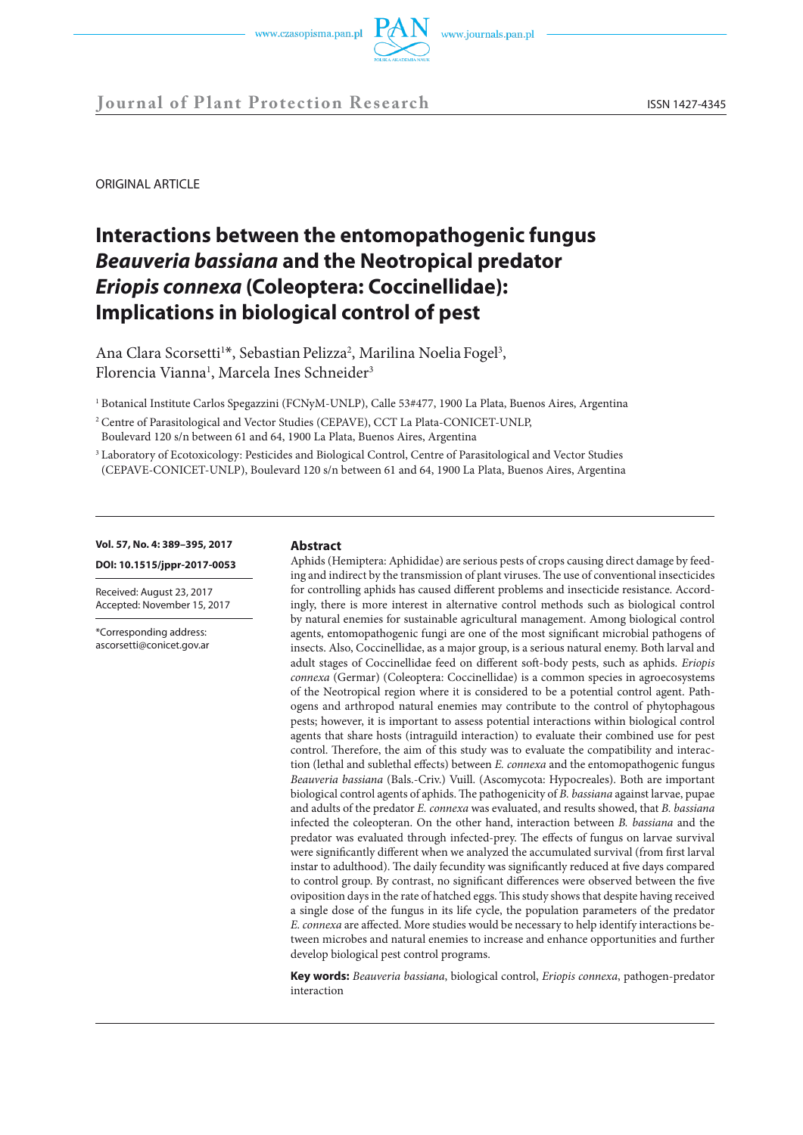

# **Journal of Plant Protection Research** ISSN 1427-4345

ORIGINAL ARTICLE

# **Interactions between the entomopathogenic fungus** *Beauveria bassiana* **and the Neotropical predator**  *Eriopis connexa* **(Coleoptera: Coccinellidae): Implications in biological control of pest**

Ana Clara Scorsetti<sup>1\*</sup>, Sebastian Pelizza<sup>2</sup>, Marilina Noelia Fogel<sup>3</sup>, Florencia Vianna<sup>1</sup>, Marcela Ines Schneider<sup>3</sup>

<sup>1</sup> Botanical Institute Carlos Spegazzini (FCNyM-UNLP), Calle 53#477, 1900 La Plata, Buenos Aires, Argentina

- <sup>2</sup> Centre of Parasitological and Vector Studies (CEPAVE), CCT La Plata-CONICET-UNLP, Boulevard 120 s/n between 61 and 64, 1900 La Plata, Buenos Aires, Argentina
- <sup>3</sup> Laboratory of Ecotoxicology: Pesticides and Biological Control, Centre of Parasitological and Vector Studies (CEPAVE-CONICET-UNLP), Boulevard 120 s/n between 61 and 64, 1900 La Plata, Buenos Aires, Argentina

#### **Vol. 57, No. 4: 389–395, 2017**

**DOI: 10.1515/jppr-2017-0053**

Received: August 23, 2017 Accepted: November 15, 2017

\*Corresponding address: ascorsetti@conicet.gov.ar

#### **Abstract**

Aphids (Hemiptera: Aphididae) are serious pests of crops causing direct damage by feeding and indirect by the transmission of plant viruses. The use of conventional insecticides for controlling aphids has caused different problems and insecticide resistance. Accordingly, there is more interest in alternative control methods such as biological control by natural enemies for sustainable agricultural management. Among biological control agents, entomopathogenic fungi are one of the most significant microbial pathogens of insects. Also, Coccinellidae, as a major group, is a serious natural enemy. Both larval and adult stages of Coccinellidae feed on different soft-body pests, such as aphids. *Eriopis connexa* (Germar) (Coleoptera: Coccinellidae) is a common species in agroecosystems of the Neotropical region where it is considered to be a potential control agent. Pathogens and arthropod natural enemies may contribute to the control of phytophagous pests; however, it is important to assess potential interactions within biological control agents that share hosts (intraguild interaction) to evaluate their combined use for pest control. Therefore, the aim of this study was to evaluate the compatibility and interaction (lethal and sublethal effects) between *E. connexa* and the entomopathogenic fungus *Beauveria bassiana* (Bals.-Criv.) Vuill. (Ascomycota: Hypocreales). Both are important biological control agents of aphids. The pathogenicity of *B. bassiana* against larvae, pupae and adults of the predator *E. connexa* was evaluated, and results showed, that *B. bassiana* infected the coleopteran. On the other hand, interaction between *B. bassiana* and the predator was evaluated through infected-prey. The effects of fungus on larvae survival were significantly different when we analyzed the accumulated survival (from first larval instar to adulthood). The daily fecundity was significantly reduced at five days compared to control group. By contrast, no significant differences were observed between the five oviposition days in the rate of hatched eggs. This study shows that despite having received a single dose of the fungus in its life cycle, the population parameters of the predator *E. connexa* are affected. More studies would be necessary to help identify interactions between microbes and natural enemies to increase and enhance opportunities and further develop biological pest control programs.

**Key words:** *Beauveria bassiana*, biological control, *Eriopis connexa*, pathogen-predator interaction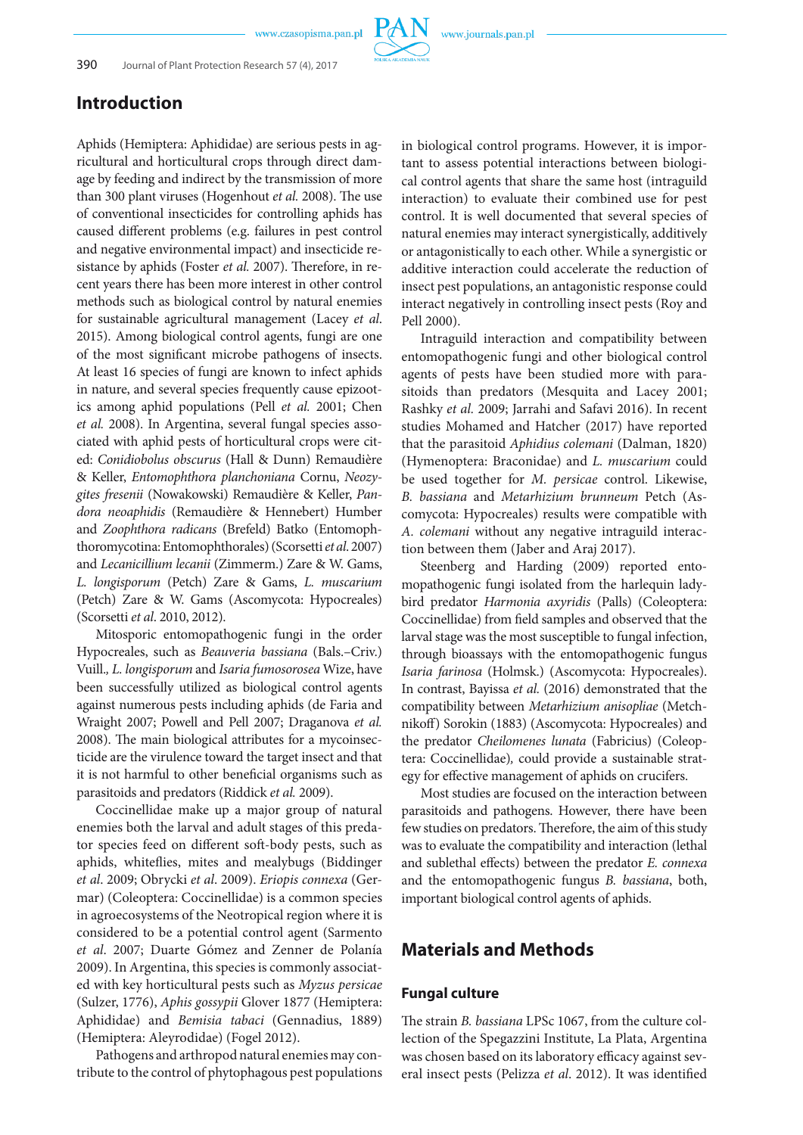www.journals.pan.pl

# **Introduction**

Aphids (Hemiptera: Aphididae) are serious pests in agricultural and horticultural crops through direct damage by feeding and indirect by the transmission of more than 300 plant viruses (Hogenhout *et al.* 2008). The use of conventional insecticides for controlling aphids has caused different problems (e.g. failures in pest control and negative environmental impact) and insecticide resistance by aphids (Foster *et al.* 2007). Therefore, in recent years there has been more interest in other control methods such as biological control by natural enemies for sustainable agricultural management (Lacey *et al*. 2015). Among biological control agents, fungi are one of the most significant microbe pathogens of insects. At least 16 species of fungi are known to infect aphids in nature, and several species frequently cause epizootics among aphid populations (Pell *et al.* 2001; Chen *et al.* 2008). In Argentina, several fungal species associated with aphid pests of horticultural crops were cited: *Conidiobolus obscurus* (Hall & Dunn) Remaudière & Keller, *Entomophthora planchoniana* Cornu, *Neozygites fresenii* (Nowakowski) Remaudière & Keller, *Pandora neoaphidis* (Remaudière & Hennebert) Humber and *Zoophthora radicans* (Brefeld) Batko (Entomophthoromycotina: Entomophthorales) (Scorsetti *et al*. 2007) and *Lecanicillium lecanii* (Zimmerm.) Zare & W. Gams, *L. longisporum* (Petch) Zare & Gams, *L. muscarium* (Petch) Zare & W. Gams (Ascomycota: Hypocreales) (Scorsetti *et al*. 2010, 2012).

Mitosporic entomopathogenic fungi in the order Hypocreales, such as *Beauveria bassiana* (Bals.–Criv.) Vuill.*, L. longisporum* and *Isaria fumosorosea* Wize, have been successfully utilized as biological control agents against numerous pests including aphids (de Faria and Wraight 2007; Powell and Pell 2007; Draganova *et al.* 2008). The main biological attributes for a mycoinsecticide are the virulence toward the target insect and that it is not harmful to other beneficial organisms such as parasitoids and predators (Riddick *et al.* 2009).

Coccinellidae make up a major group of natural enemies both the larval and adult stages of this predator species feed on different soft-body pests, such as aphids, whiteflies, mites and mealybugs (Biddinger *et al*. 2009; Obrycki *et al*. 2009). *Eriopis connexa* (Germar) (Coleoptera: Coccinellidae) is a common species in agroecosystems of the Neotropical region where it is considered to be a potential control agent (Sarmento *et al*. 2007; Duarte Gómez and Zenner de Polanía 2009). In Argentina, this species is commonly associated with key horticultural pests such as *Myzus persicae*  (Sulzer, 1776), *Aphis gossypii* Glover 1877 (Hemiptera: Aphididae) and *Bemisia tabaci* (Gennadius, 1889) (Hemiptera: Aleyrodidae) (Fogel 2012).

Pathogens and arthropod natural enemies may contribute to the control of phytophagous pest populations in biological control programs. However, it is important to assess potential interactions between biological control agents that share the same host (intraguild interaction) to evaluate their combined use for pest control. It is well documented that several species of natural enemies may interact synergistically, additively or antagonistically to each other. While a synergistic or additive interaction could accelerate the reduction of insect pest populations, an antagonistic response could interact negatively in controlling insect pests (Roy and Pell 2000).

Intraguild interaction and compatibility between entomopathogenic fungi and other biological control agents of pests have been studied more with parasitoids than predators (Mesquita and Lacey 2001; Rashky *et al.* 2009; Jarrahi and Safavi 2016). In recent studies Mohamed and Hatcher (2017) have reported that the parasitoid *Aphidius colemani* (Dalman, 1820) (Hymenoptera: Braconidae) and *L. muscarium* could be used together for *M. persicae* control. Likewise, *B. bassiana* and *Metarhizium brunneum* Petch (Ascomycota: Hypocreales) results were compatible with *A. colemani* without any negative intraguild interaction between them (Jaber and Araj 2017).

Steenberg and Harding (2009) reported entomopathogenic fungi isolated from the harlequin ladybird predator *Harmonia axyridis* (Palls) (Coleoptera: Coccinellidae) from field samples and observed that the larval stage was the most susceptible to fungal infection, through bioassays with the entomopathogenic fungus *Isaria farinosa* (Holmsk.) (Ascomycota: Hypocreales). In contrast, Bayissa *et al.* (2016) demonstrated that the compatibility between *Metarhizium anisopliae* (Metchnikoff) Sorokin (1883) (Ascomycota: Hypocreales) and the predator *Cheilomenes lunata* (Fabricius) (Coleoptera: Coccinellidae)*,* could provide a sustainable strategy for effective management of aphids on crucifers.

Most studies are focused on the interaction between parasitoids and pathogens. However, there have been few studies on predators. Therefore, the aim of this study was to evaluate the compatibility and interaction (lethal and sublethal effects) between the predator *E. connexa* and the entomopathogenic fungus *B. bassiana*, both, important biological control agents of aphids.

# **Materials and Methods**

#### **Fungal culture**

The strain *B. bassiana* LPSc 1067, from the culture collection of the Spegazzini Institute, La Plata, Argentina was chosen based on its laboratory efficacy against several insect pests (Pelizza *et al*. 2012). It was identified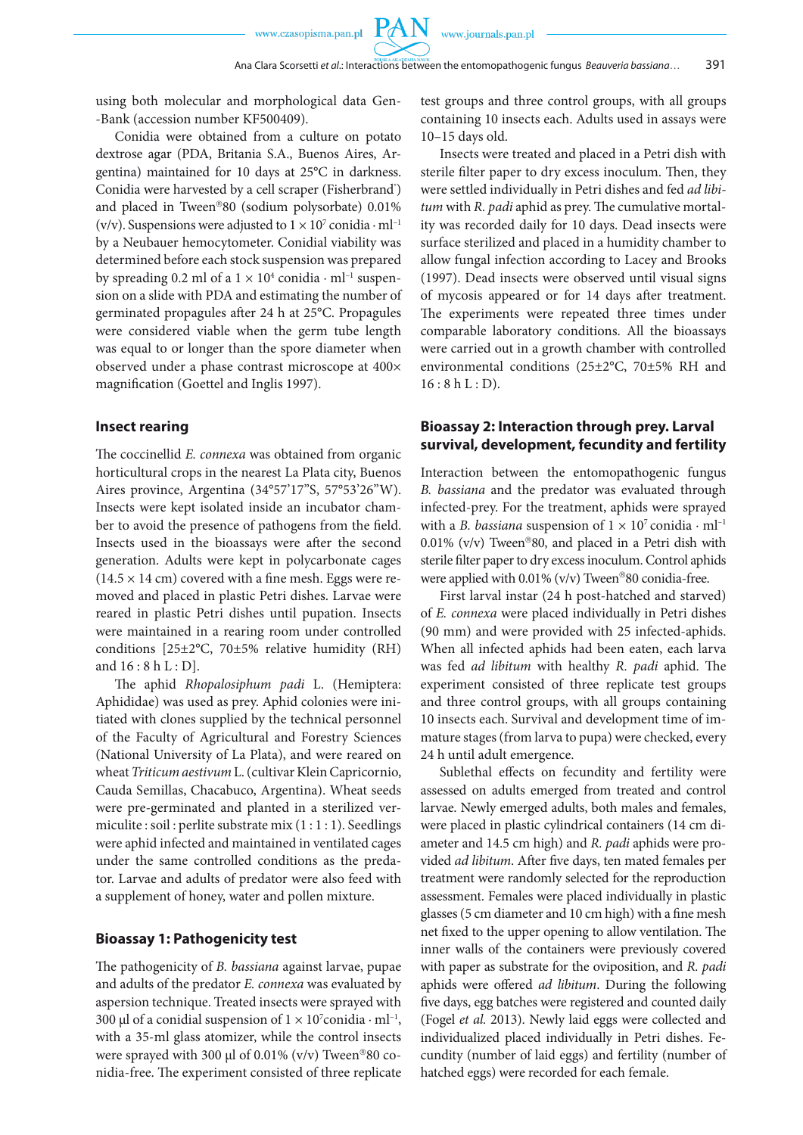using both molecular and morphological data Gen- -Bank (accession number KF500409).

Conidia were obtained from a culture on potato dextrose agar (PDA, Britania S.A., Buenos Aires, Argentina) maintained for 10 days at 25°C in darkness. Conidia were harvested by a cell scraper (Fisherbrand<sup>®</sup>) and placed in Tween®80 (sodium polysorbate) 0.01% (v/v). Suspensions were adjusted to  $1 \times 10^7$  conidia  $\cdot$  ml<sup>-1</sup> by a Neubauer hemocytometer. Conidial viability was determined before each stock suspension was prepared by spreading 0.2 ml of a  $1 \times 10^4$  conidia  $\cdot$  ml<sup>-1</sup> suspension on a slide with PDA and estimating the number of germinated propagules after 24 h at 25°C. Propagules were considered viable when the germ tube length was equal to or longer than the spore diameter when observed under a phase contrast microscope at 400× magnification (Goettel and Inglis 1997).

#### **Insect rearing**

The coccinellid *E. connexa* was obtained from organic horticultural crops in the nearest La Plata city, Buenos Aires province, Argentina (34°57'17"S, 57°53'26"W). Insects were kept isolated inside an incubator chamber to avoid the presence of pathogens from the field. Insects used in the bioassays were after the second generation. Adults were kept in polycarbonate cages  $(14.5 \times 14 \text{ cm})$  covered with a fine mesh. Eggs were removed and placed in plastic Petri dishes. Larvae were reared in plastic Petri dishes until pupation. Insects were maintained in a rearing room under controlled conditions [25±2°C, 70±5% relative humidity (RH) and 16 : 8 h L : D].

The aphid *Rhopalosiphum padi* L. (Hemiptera: Aphididae) was used as prey. Aphid colonies were initiated with clones supplied by the technical personnel of the Faculty of Agricultural and Forestry Sciences (National University of La Plata), and were reared on wheat *Triticum aestivum* L. (cultivar Klein Capricornio, Cauda Semillas, Chacabuco, Argentina). Wheat seeds were pre-germinated and planted in a sterilized vermiculite : soil : perlite substrate mix (1 : 1 : 1). Seedlings were aphid infected and maintained in ventilated cages under the same controlled conditions as the predator. Larvae and adults of predator were also feed with a supplement of honey, water and pollen mixture.

#### **Bioassay 1: Pathogenicity test**

The pathogenicity of *B. bassiana* against larvae, pupae and adults of the predator *E. connexa* was evaluated by aspersion technique. Treated insects were sprayed with 300 µl of a conidial suspension of  $1 \times 10^7$ conidia · ml<sup>-1</sup>, with a 35-ml glass atomizer, while the control insects were sprayed with 300 µl of 0.01% (v/v) Tween<sup>®</sup>80 conidia-free. The experiment consisted of three replicate

test groups and three control groups, with all groups containing 10 insects each. Adults used in assays were 10–15 days old.

Insects were treated and placed in a Petri dish with sterile filter paper to dry excess inoculum. Then, they were settled individually in Petri dishes and fed *ad libitum* with *R. padi* aphid as prey. The cumulative mortality was recorded daily for 10 days. Dead insects were surface sterilized and placed in a humidity chamber to allow fungal infection according to Lacey and Brooks (1997). Dead insects were observed until visual signs of mycosis appeared or for 14 days after treatment. The experiments were repeated three times under comparable laboratory conditions. All the bioassays were carried out in a growth chamber with controlled environmental conditions (25±2°C, 70±5% RH and  $16:8 h L : D$ ).

#### **Bioassay 2: Interaction through prey. Larval survival, development, fecundity and fertility**

Interaction between the entomopathogenic fungus *B. bassiana* and the predator was evaluated through infected-prey. For the treatment, aphids were sprayed with a *B. bassiana* suspension of  $1 \times 10^7$  conidia  $\cdot$  ml<sup>-1</sup> 0.01% (v/v) Tween®80, and placed in a Petri dish with sterile filter paper to dry excess inoculum. Control aphids were applied with  $0.01\%$  (v/v) Tween®80 conidia-free.

First larval instar (24 h post-hatched and starved) of *E. connexa* were placed individually in Petri dishes (90 mm) and were provided with 25 infected-aphids. When all infected aphids had been eaten, each larva was fed *ad libitum* with healthy *R. padi* aphid. The experiment consisted of three replicate test groups and three control groups, with all groups containing 10 insects each. Survival and development time of immature stages (from larva to pupa) were checked, every 24 h until adult emergence.

Sublethal effects on fecundity and fertility were assessed on adults emerged from treated and control larvae. Newly emerged adults, both males and females, were placed in plastic cylindrical containers (14 cm diameter and 14.5 cm high) and *R. padi* aphids were provided *ad libitum*. After five days, ten mated females per treatment were randomly selected for the reproduction assessment. Females were placed individually in plastic glasses (5 cm diameter and 10 cm high) with a fine mesh net fixed to the upper opening to allow ventilation. The inner walls of the containers were previously covered with paper as substrate for the oviposition, and *R. padi* aphids were offered *ad libitum*. During the following five days, egg batches were registered and counted daily (Fogel *et al.* 2013). Newly laid eggs were collected and individualized placed individually in Petri dishes. Fecundity (number of laid eggs) and fertility (number of hatched eggs) were recorded for each female.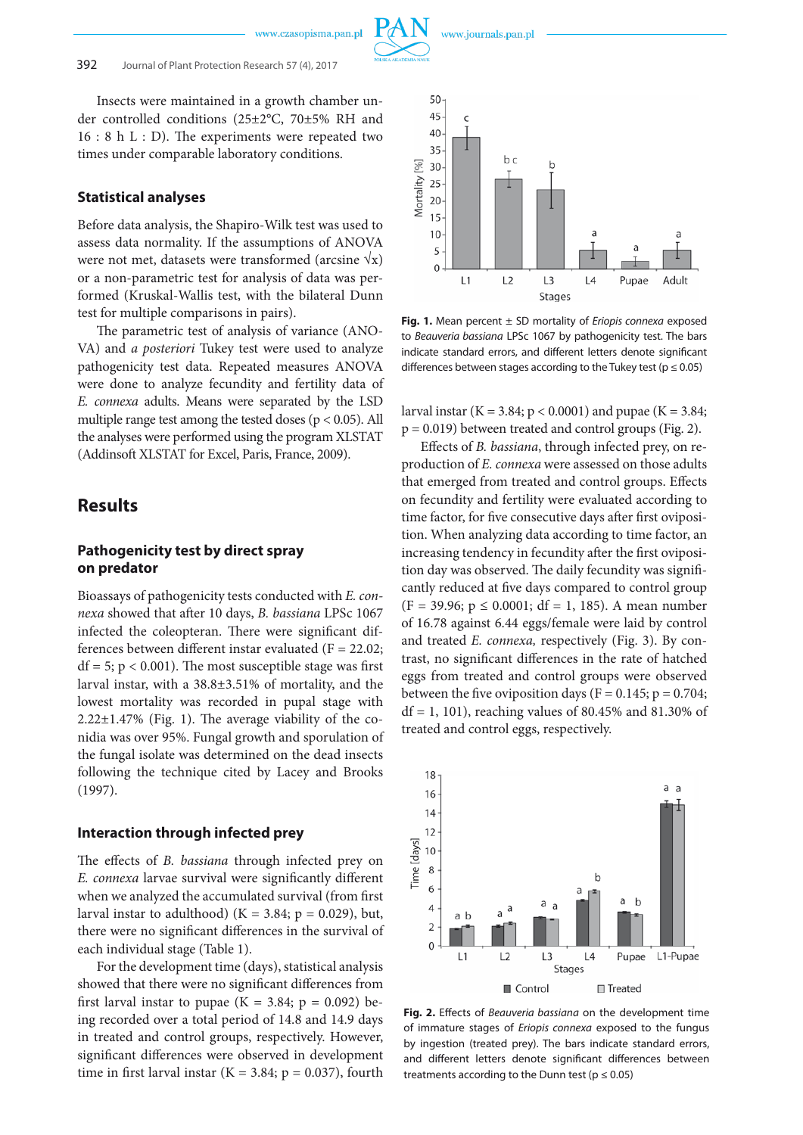

Insects were maintained in a growth chamber under controlled conditions (25±2°C, 70±5% RH and 16 : 8 h L : D). The experiments were repeated two times under comparable laboratory conditions.

#### **Statistical analyses**

Before data analysis, the Shapiro-Wilk test was used to assess data normality. If the assumptions of ANOVA were not met, datasets were transformed (arcsine  $\sqrt{x}$ ) or a non-parametric test for analysis of data was performed (Kruskal-Wallis test, with the bilateral Dunn test for multiple comparisons in pairs).

The parametric test of analysis of variance (ANO-VA) and *a posteriori* Tukey test were used to analyze pathogenicity test data. Repeated measures ANOVA were done to analyze fecundity and fertility data of *E. connexa* adults. Means were separated by the LSD multiple range test among the tested doses ( $p < 0.05$ ). All the analyses were performed using the program XLSTAT (Addinsoft XLSTAT for Excel, Paris, France, 2009).

### **Results**

#### **Pathogenicity test by direct spray on predator**

Bioassays of pathogenicity tests conducted with *E. connexa* showed that after 10 days, *B. bassiana* LPSc 1067 infected the coleopteran. There were significant differences between different instar evaluated ( $F = 22.02$ ;  $df = 5$ ;  $p < 0.001$ ). The most susceptible stage was first larval instar, with a 38.8±3.51% of mortality, and the lowest mortality was recorded in pupal stage with  $2.22 \pm 1.47\%$  (Fig. 1). The average viability of the conidia was over 95%. Fungal growth and sporulation of the fungal isolate was determined on the dead insects following the technique cited by Lacey and Brooks (1997).

#### **Interaction through infected prey**

The effects of *B. bassiana* through infected prey on *E. connexa* larvae survival were significantly different when we analyzed the accumulated survival (from first larval instar to adulthood) ( $K = 3.84$ ;  $p = 0.029$ ), but, there were no significant differences in the survival of each individual stage (Table 1).

For the development time (days), statistical analysis showed that there were no significant differences from first larval instar to pupae ( $K = 3.84$ ;  $p = 0.092$ ) being recorded over a total period of 14.8 and 14.9 days in treated and control groups, respectively. However, significant differences were observed in development time in first larval instar ( $K = 3.84$ ;  $p = 0.037$ ), fourth



**Fig. 1.** Mean percent ± SD mortality of *Eriopis connexa* exposed to *Beauveria bassiana* LPSc 1067 by pathogenicity test. The bars indicate standard errors, and different letters denote significant differences between stages according to the Tukey test ( $p \le 0.05$ )

larval instar (K = 3.84;  $p < 0.0001$ ) and pupae (K = 3.84;  $p = 0.019$ ) between treated and control groups (Fig. 2).

Effects of *B. bassiana*, through infected prey, on reproduction of *E. connexa* were assessed on those adults that emerged from treated and control groups. Effects on fecundity and fertility were evaluated according to time factor, for five consecutive days after first oviposition. When analyzing data according to time factor, an increasing tendency in fecundity after the first oviposition day was observed. The daily fecundity was significantly reduced at five days compared to control group  $(F = 39.96; p \le 0.0001; df = 1, 185)$ . A mean number of 16.78 against 6.44 eggs/female were laid by control and treated *E. connexa,* respectively (Fig. 3). By contrast, no significant differences in the rate of hatched eggs from treated and control groups were observed between the five oviposition days ( $F = 0.145$ ;  $p = 0.704$ ;  $df = 1$ , 101), reaching values of 80.45% and 81.30% of treated and control eggs, respectively.



**Fig. 2.** Effects of *Beauveria bassiana* on the development time of immature stages of *Eriopis connexa* exposed to the fungus by ingestion (treated prey). The bars indicate standard errors, and different letters denote significant differences between treatments according to the Dunn test ( $p \le 0.05$ )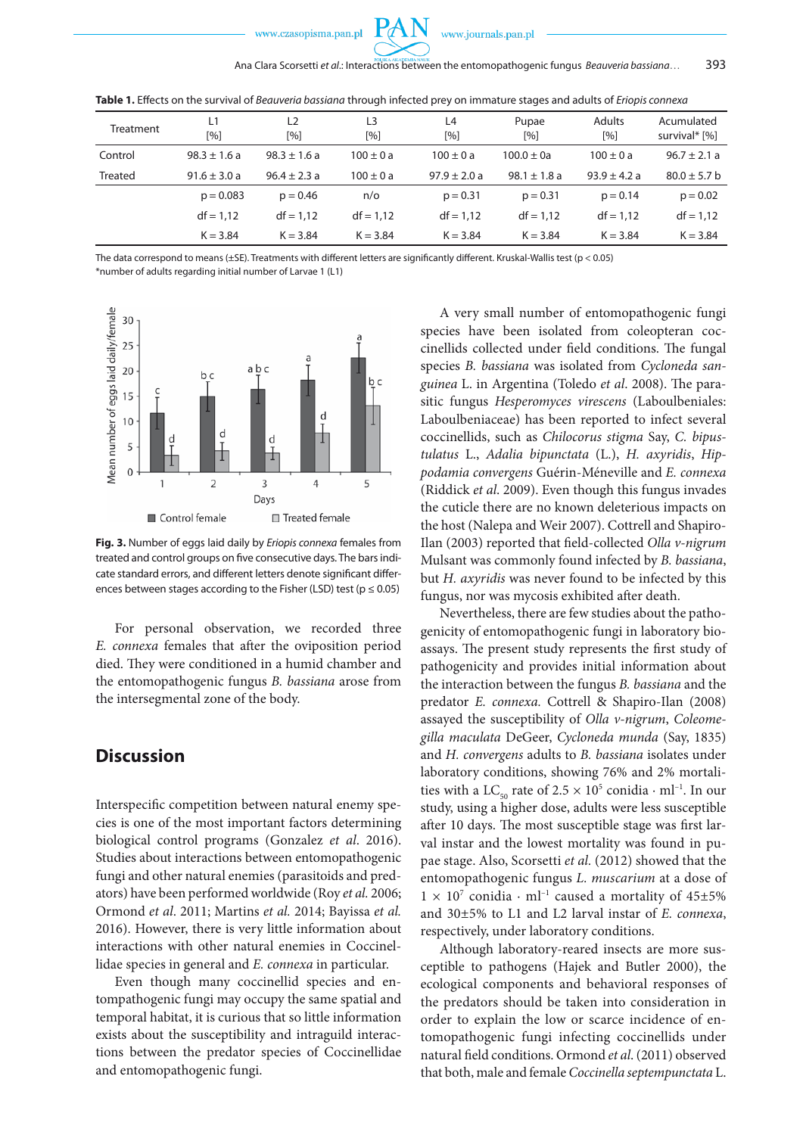

| Treatment      | L1<br>[%]        | L <sub>2</sub><br>[%] | L3<br>[%]     | L4<br>[%]        | Pupae<br>$\lceil % \rceil$ | <b>Adults</b><br>[%] | Acumulated<br>survival* [%] |
|----------------|------------------|-----------------------|---------------|------------------|----------------------------|----------------------|-----------------------------|
| Control        | $98.3 \pm 1.6 a$ | $98.3 \pm 1.6 a$      | $100 \pm 0 a$ | $100 \pm 0 a$    | $100.0 \pm 0$ a            | $100 \pm 0 a$        | $96.7 \pm 2.1 a$            |
| <b>Treated</b> | $91.6 \pm 3.0 a$ | $96.4 \pm 2.3 a$      | $100 \pm 0 a$ | $97.9 \pm 2.0 a$ | $98.1 \pm 1.8$ a           | $93.9 \pm 4.2 a$     | $80.0 \pm 5.7$ b            |
|                | $p = 0.083$      | $p = 0.46$            | $n$ o         | $p = 0.31$       | $p = 0.31$                 | $p = 0.14$           | $p = 0.02$                  |
|                | $df = 1,12$      | $df = 1.12$           | $df = 1.12$   | $df = 1,12$      | $df = 1.12$                | $df = 1.12$          | $df = 1,12$                 |
|                | $K = 3.84$       | $K = 3.84$            | $K = 3.84$    | $K = 3.84$       | $K = 3.84$                 | $K = 3.84$           | $K = 3.84$                  |

**Table 1.** Effects on the survival of *Beauveria bassiana* through infected prey on immature stages and adults of *Eriopis connexa*

The data correspond to means (±SE). Treatments with different letters are significantly different. Kruskal-Wallis test (p < 0.05) \*number of adults regarding initial number of Larvae 1 (L1)



**Fig. 3.** Number of eggs laid daily by *Eriopis connexa* females from treated and control groups on five consecutive days. The bars indicate standard errors, and different letters denote significant differences between stages according to the Fisher (LSD) test ( $p \le 0.05$ )

For personal observation, we recorded three *E. connexa* females that after the oviposition period died. They were conditioned in a humid chamber and the entomopathogenic fungus *B. bassiana* arose from the intersegmental zone of the body.

# **Discussion**

Interspecific competition between natural enemy species is one of the most important factors determining biological control programs (Gonzalez *et al*. 2016). Studies about interactions between entomopathogenic fungi and other natural enemies (parasitoids and predators) have been performed worldwide (Roy *et al.* 2006; Ormond *et al*. 2011; Martins *et al.* 2014; Bayissa *et al.* 2016). However, there is very little information about interactions with other natural enemies in Coccinellidae species in general and *E. connexa* in particular.

Even though many coccinellid species and entompathogenic fungi may occupy the same spatial and temporal habitat, it is curious that so little information exists about the susceptibility and intraguild interactions between the predator species of Coccinellidae and entomopathogenic fungi.

A very small number of entomopathogenic fungi species have been isolated from coleopteran coccinellids collected under field conditions. The fungal species *B. bassiana* was isolated from *Cycloneda sanguinea* L. in Argentina (Toledo *et al*. 2008). The parasitic fungus *Hesperomyces virescens* (Laboulbeniales: Laboulbeniaceae) has been reported to infect several coccinellids, such as *Chilocorus stigma* Say, *C. bipustulatus* L., *Adalia bipunctata* (L.), *H. axyridis*, *Hippodamia convergens* Guérin-Méneville and *E. connexa* (Riddick *et al*. 2009). Even though this fungus invades the cuticle there are no known deleterious impacts on the host (Nalepa and Weir 2007). Cottrell and Shapiro-Ilan (2003) reported that field-collected *Olla v-nigrum* Mulsant was commonly found infected by *B. bassiana*, but *H. axyridis* was never found to be infected by this fungus, nor was mycosis exhibited after death.

Nevertheless, there are few studies about the pathogenicity of entomopathogenic fungi in laboratory bioassays. The present study represents the first study of pathogenicity and provides initial information about the interaction between the fungus *B. bassiana* and the predator *E. connexa.* Cottrell & Shapiro-Ilan (2008) assayed the susceptibility of *Olla v-nigrum*, *Coleomegilla maculata* DeGeer, *Cycloneda munda* (Say, 1835) and *H. convergens* adults to *B. bassiana* isolates under laboratory conditions, showing 76% and 2% mortalities with a LC<sub>50</sub> rate of  $2.5 \times 10^5$  conidia  $\cdot$  ml<sup>-1</sup>. In our study, using a higher dose, adults were less susceptible after 10 days. The most susceptible stage was first larval instar and the lowest mortality was found in pupae stage. Also, Scorsetti *et al.* (2012) showed that the entomopathogenic fungus *L. muscarium* at a dose of  $1 \times 10^7$  conidia  $\cdot$  ml<sup>-1</sup> caused a mortality of 45±5% and 30±5% to L1 and L2 larval instar of *E. connexa*, respectively, under laboratory conditions.

Although laboratory-reared insects are more susceptible to pathogens (Hajek and Butler 2000), the ecological components and behavioral responses of the predators should be taken into consideration in order to explain the low or scarce incidence of entomopathogenic fungi infecting coccinellids under natural field conditions. Ormond *et al*. (2011) observed that both, male and female *Coccinella septempunctata* L.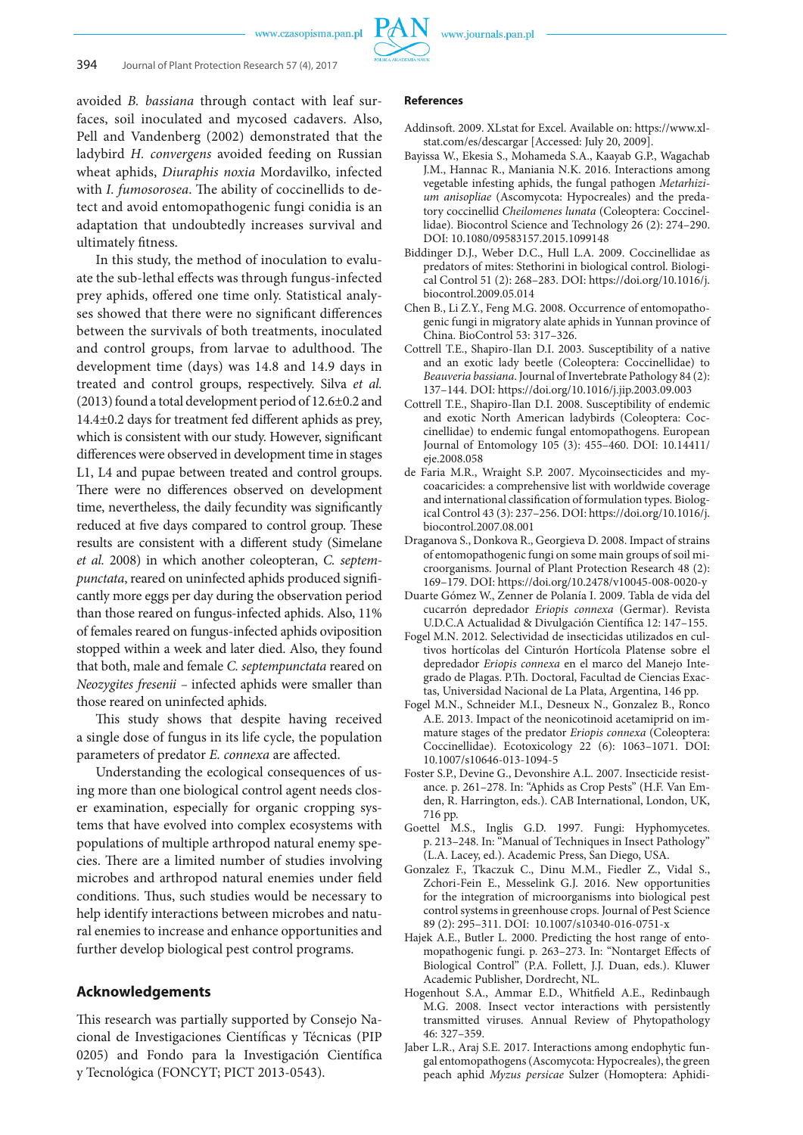

avoided *B. bassiana* through contact with leaf surfaces, soil inoculated and mycosed cadavers. Also, Pell and Vandenberg (2002) demonstrated that the ladybird *H. convergens* avoided feeding on Russian wheat aphids, *Diuraphis noxia* Mordavilko, infected with *I. fumosorosea*. The ability of coccinellids to detect and avoid entomopathogenic fungi conidia is an adaptation that undoubtedly increases survival and ultimately fitness.

In this study, the method of inoculation to evaluate the sub-lethal effects was through fungus-infected prey aphids, offered one time only. Statistical analyses showed that there were no significant differences between the survivals of both treatments, inoculated and control groups, from larvae to adulthood. The development time (days) was 14.8 and 14.9 days in treated and control groups, respectively. Silva *et al.* (2013) found a total development period of 12.6±0.2 and 14.4±0.2 days for treatment fed different aphids as prey, which is consistent with our study. However, significant differences were observed in development time in stages L1, L4 and pupae between treated and control groups. There were no differences observed on development time, nevertheless, the daily fecundity was significantly reduced at five days compared to control group. These results are consistent with a different study (Simelane *et al.* 2008) in which another coleopteran, *C. septempunctata*, reared on uninfected aphids produced significantly more eggs per day during the observation period than those reared on fungus-infected aphids. Also, 11% of females reared on fungus-infected aphids oviposition stopped within a week and later died. Also, they found that both, male and female *C. septempunctata* reared on *Neozygites fresenii* – infected aphids were smaller than those reared on uninfected aphids.

This study shows that despite having received a single dose of fungus in its life cycle, the population parameters of predator *E. connexa* are affected.

Understanding the ecological consequences of using more than one biological control agent needs closer examination, especially for organic cropping systems that have evolved into complex ecosystems with populations of multiple arthropod natural enemy species. There are a limited number of studies involving microbes and arthropod natural enemies under field conditions. Thus, such studies would be necessary to help identify interactions between microbes and natural enemies to increase and enhance opportunities and further develop biological pest control programs.

#### **Acknowledgements**

This research was partially supported by Consejo Nacional de Investigaciones Científicas y Técnicas (PIP 0205) and Fondo para la Investigación Científica y Tecnológica (FONCYT; PICT 2013-0543).

- Addinsoft. 2009. XLstat for Excel. Available on: https://www.xlstat.com/es/descargar [Accessed: July 20, 2009].
- Bayissa W., Ekesia S., Mohameda S.A., Kaayab G.P., Wagachab J.M., Hannac R., Maniania N.K. 2016. Interactions among vegetable infesting aphids, the fungal pathogen *Metarhizium anisopliae* (Ascomycota: Hypocreales) and the predatory coccinellid *Cheilomenes lunata* (Coleoptera: Coccinellidae). Biocontrol Science and Technology 26 (2): 274–290. DOI: 10.1080/09583157.2015.1099148
- Biddinger D.J., Weber D.C., Hull L.A. 2009. Coccinellidae as predators of mites: Stethorini in biological control. Biological Control 51 (2): 268–283. DOI: https://doi.org/10.1016/j. biocontrol.2009.05.014
- Chen B., Li Z.Y., Feng M.G. 2008. Occurrence of entomopathogenic fungi in migratory alate aphids in Yunnan province of China. BioControl 53: 317–326.
- Cottrell T.E., Shapiro-Ilan D.I. 2003. Susceptibility of a native and an exotic lady beetle (Coleoptera: Coccinellidae) to *Beauveria bassiana*. Journal of Invertebrate Pathology 84 (2): 137–144. DOI: https://doi.org/10.1016/j.jip.2003.09.003
- Cottrell T.E., Shapiro-Ilan D.I. 2008. Susceptibility of endemic and exotic North American ladybirds (Coleoptera: Coccinellidae) to endemic fungal entomopathogens. European Journal of Entomology 105 (3): 455–460. DOI: 10.14411/ eje.2008.058
- de Faria M.R., Wraight S.P. 2007. Mycoinsecticides and mycoacaricides: a comprehensive list with worldwide coverage and international classification of formulation types. Biological Control 43 (3): 237–256. DOI: https://doi.org/10.1016/j. biocontrol.2007.08.001
- Draganova S., Donkova R., Georgieva D. 2008. Impact of strains of entomopathogenic fungi on some main groups of soil microorganisms. Journal of Plant Protection Research 48 (2): 169–179. DOI: https://doi.org/10.2478/v10045-008-0020-y
- Duarte Gómez W., Zenner de Polanía I. 2009. Tabla de vida del cucarrón depredador *Eriopis connexa* (Germar). Revista U.D.C.A Actualidad & Divulgación Científica 12: 147–155.
- Fogel M.N. 2012. Selectividad de insecticidas utilizados en cultivos hortícolas del Cinturón Hortícola Platense sobre el depredador *Eriopis connexa* en el marco del Manejo Integrado de Plagas. P.Th. Doctoral, Facultad de Ciencias Exactas, Universidad Nacional de La Plata, Argentina, 146 pp.
- Fogel M.N., Schneider M.I., Desneux N., Gonzalez B., Ronco A.E. 2013. Impact of the neonicotinoid acetamiprid on immature stages of the predator *Eriopis connexa* (Coleoptera: Coccinellidae). Ecotoxicology 22 (6): 1063–1071. DOI: 10.1007/s10646-013-1094-5
- Foster S.P., Devine G., Devonshire A.L. 2007. Insecticide resistance. p. 261–278. In: "Aphids as Crop Pests" (H.F. Van Emden, R. Harrington, eds.). CAB International, London, UK, 716 pp.
- Goettel M.S., Inglis G.D. 1997. Fungi: Hyphomycetes. p. 213–248. In: "Manual of Techniques in Insect Pathology" (L.A. Lacey, ed.). Academic Press, San Diego, USA.
- Gonzalez F., Tkaczuk C., Dinu M.M., Fiedler Z., Vidal S., Zchori-Fein E., Messelink G.J. 2016. New opportunities for the integration of microorganisms into biological pest control systems in greenhouse crops. Journal of Pest Science 89 (2): 295–311. DOI: 10.1007/s10340-016-0751-x
- Hajek A.E., Butler L. 2000. Predicting the host range of entomopathogenic fungi. p. 263–273. In: "Nontarget Effects of Biological Control" (P.A. Follett, J.J. Duan, eds.). Kluwer Academic Publisher, Dordrecht, NL.
- Hogenhout S.A., Ammar E.D., Whitfield A.E., Redinbaugh M.G. 2008. Insect vector interactions with persistently transmitted viruses. Annual Review of Phytopathology 46: 327–359.
- Jaber L.R., Araj S.E. 2017. Interactions among endophytic fungal entomopathogens (Ascomycota: Hypocreales), the green peach aphid *Myzus persicae* Sulzer (Homoptera: Aphidi-